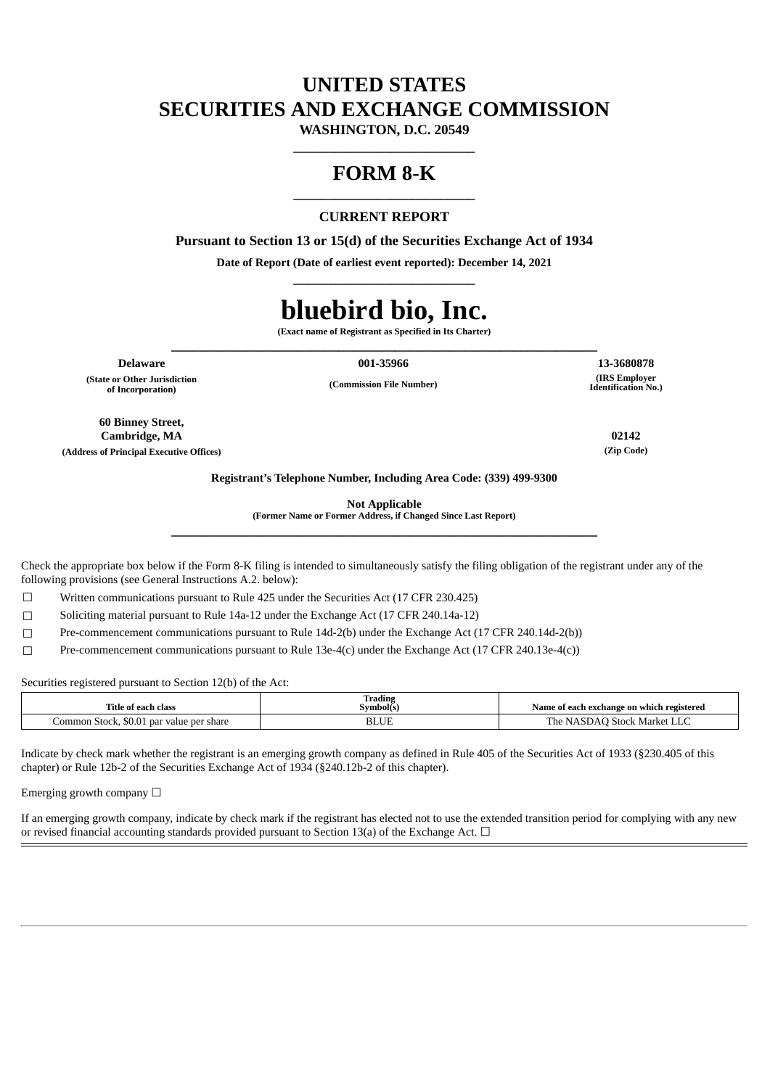## **UNITED STATES SECURITIES AND EXCHANGE COMMISSION**

**WASHINGTON, D.C. 20549 \_\_\_\_\_\_\_\_\_\_\_\_\_\_\_\_\_\_\_\_\_\_\_\_\_\_**

## **FORM 8-K \_\_\_\_\_\_\_\_\_\_\_\_\_\_\_\_\_\_\_\_\_\_\_\_\_\_**

## **CURRENT REPORT**

**Pursuant to Section 13 or 15(d) of the Securities Exchange Act of 1934**

**Date of Report (Date of earliest event reported): December 14, 2021 \_\_\_\_\_\_\_\_\_\_\_\_\_\_\_\_\_\_\_\_\_\_\_\_\_\_**

# **bluebird bio, Inc.**

**(Exact name of Registrant as Specified in Its Charter) \_\_\_\_\_\_\_\_\_\_\_\_\_\_\_\_\_\_\_\_\_\_\_\_\_\_\_\_\_\_\_\_\_\_\_\_\_\_\_\_\_\_\_\_\_\_\_\_\_\_\_\_\_\_\_\_\_\_\_\_\_**

**Delaware 001-35966 13-3680878**

**(State or Other Jurisdiction of Incorporation)**

**(Commission File Number)**

**60 Binney Street, Cambridge, MA 02142 (Address of Principal Executive Offices) (Zip Code)**

**(IRS Employer Identification No.)**

**Registrant's Telephone Number, Including Area Code: (339) 499-9300**

**Not Applicable**

**(Former Name or Former Address, if Changed Since Last Report) \_\_\_\_\_\_\_\_\_\_\_\_\_\_\_\_\_\_\_\_\_\_\_\_\_\_\_\_\_\_\_\_\_\_\_\_\_\_\_\_\_\_\_\_\_\_\_\_\_\_\_\_\_\_\_\_\_\_\_\_\_**

Check the appropriate box below if the Form 8-K filing is intended to simultaneously satisfy the filing obligation of the registrant under any of the following provisions (see General Instructions A.2. below):

☐ Written communications pursuant to Rule 425 under the Securities Act (17 CFR 230.425)

☐ Soliciting material pursuant to Rule 14a-12 under the Exchange Act (17 CFR 240.14a-12)

☐ Pre-commencement communications pursuant to Rule 14d-2(b) under the Exchange Act (17 CFR 240.14d-2(b))

 $\Box$  Pre-commencement communications pursuant to Rule 13e-4(c) under the Exchange Act (17 CFR 240.13e-4(c))

Securities registered pursuant to Section 12(b) of the Act:

| Title of each class                              | Frading<br>svmbol(s' | Name of each exchange on which registered |
|--------------------------------------------------|----------------------|-------------------------------------------|
| \$0.01<br>Lommon Stock.<br>l par value per share | זז זם<br>DLUE        | ` Stock Market LLC<br>. ne<br>NL<br>NA    |

Indicate by check mark whether the registrant is an emerging growth company as defined in Rule 405 of the Securities Act of 1933 (§230.405 of this chapter) or Rule 12b-2 of the Securities Exchange Act of 1934 (§240.12b-2 of this chapter).

Emerging growth company  $\Box$ 

If an emerging growth company, indicate by check mark if the registrant has elected not to use the extended transition period for complying with any new or revised financial accounting standards provided pursuant to Section 13(a) of the Exchange Act.  $\Box$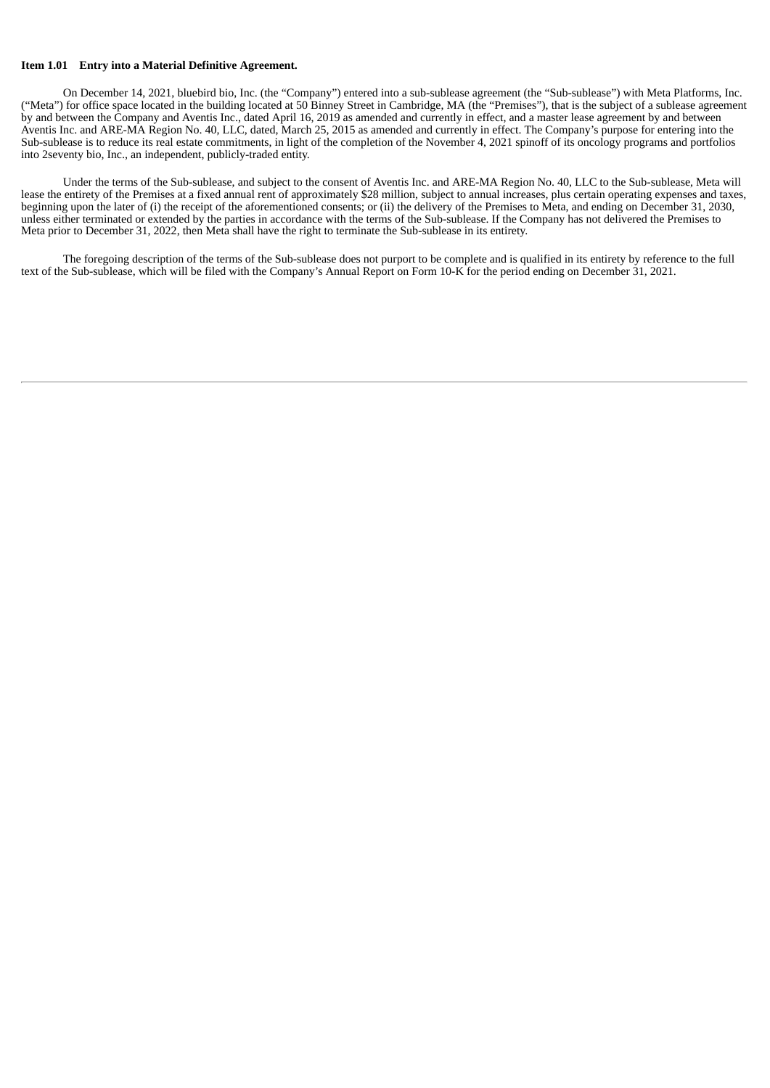### **Item 1.01 Entry into a Material Definitive Agreement.**

On December 14, 2021, bluebird bio, Inc. (the "Company") entered into a sub-sublease agreement (the "Sub-sublease") with Meta Platforms, Inc. ("Meta") for office space located in the building located at 50 Binney Street in Cambridge, MA (the "Premises"), that is the subject of a sublease agreement by and between the Company and Aventis Inc., dated April 16, 2019 as amended and currently in effect, and a master lease agreement by and between Aventis Inc. and ARE-MA Region No. 40, LLC, dated, March 25, 2015 as amended and currently in effect. The Company's purpose for entering into the Sub-sublease is to reduce its real estate commitments, in light of the completion of the November 4, 2021 spinoff of its oncology programs and portfolios into 2seventy bio, Inc., an independent, publicly-traded entity.

Under the terms of the Sub-sublease, and subject to the consent of Aventis Inc. and ARE-MA Region No. 40, LLC to the Sub-sublease, Meta will lease the entirety of the Premises at a fixed annual rent of approximately \$28 million, subject to annual increases, plus certain operating expenses and taxes, beginning upon the later of (i) the receipt of the aforementioned consents; or (ii) the delivery of the Premises to Meta, and ending on December 31, 2030, unless either terminated or extended by the parties in accordance with the terms of the Sub-sublease. If the Company has not delivered the Premises to Meta prior to December 31, 2022, then Meta shall have the right to terminate the Sub-sublease in its entirety.

The foregoing description of the terms of the Sub-sublease does not purport to be complete and is qualified in its entirety by reference to the full text of the Sub-sublease, which will be filed with the Company's Annual Report on Form 10-K for the period ending on December 31, 2021.